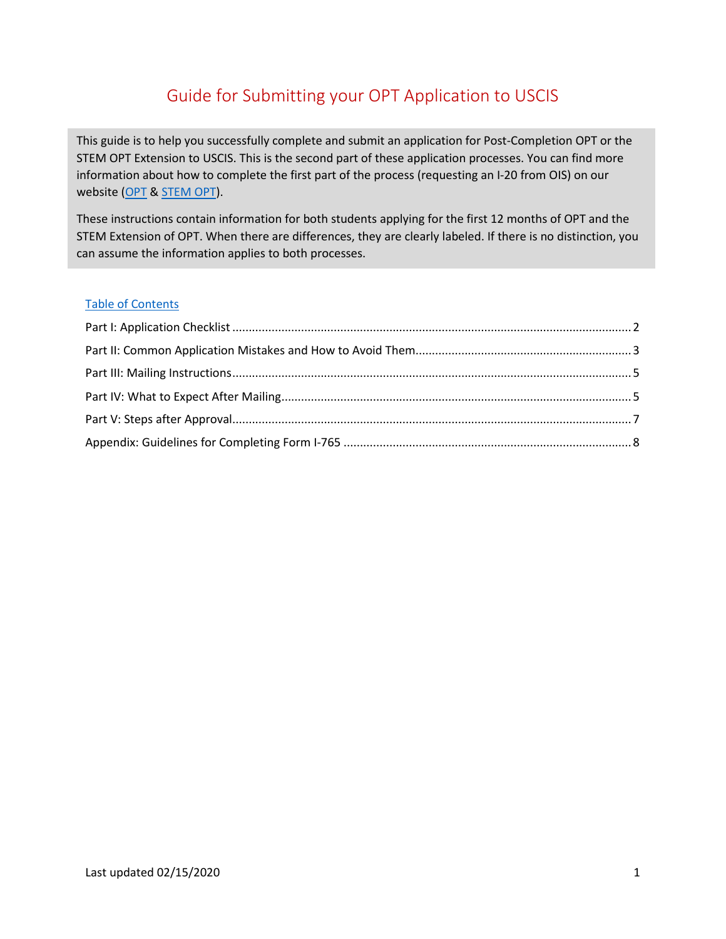# Guide for Submitting your OPT Application to USCIS

This guide is to help you successfully complete and submit an application for Post-Completion OPT or the STEM OPT Extension to USCIS. This is the second part of these application processes. You can find more information about how to complete the first part of the process (requesting an I-20 from OIS) on our website [\(OPT](https://internationalservices.ncsu.edu/student-employment/optional-practical-training/) & [STEM OPT\)](https://internationalservices.ncsu.edu/stem-extension-application-process/).

These instructions contain information for both students applying for the first 12 months of OPT and the STEM Extension of OPT. When there are differences, they are clearly labeled. If there is no distinction, you can assume the information applies to both processes.

### Table of Contents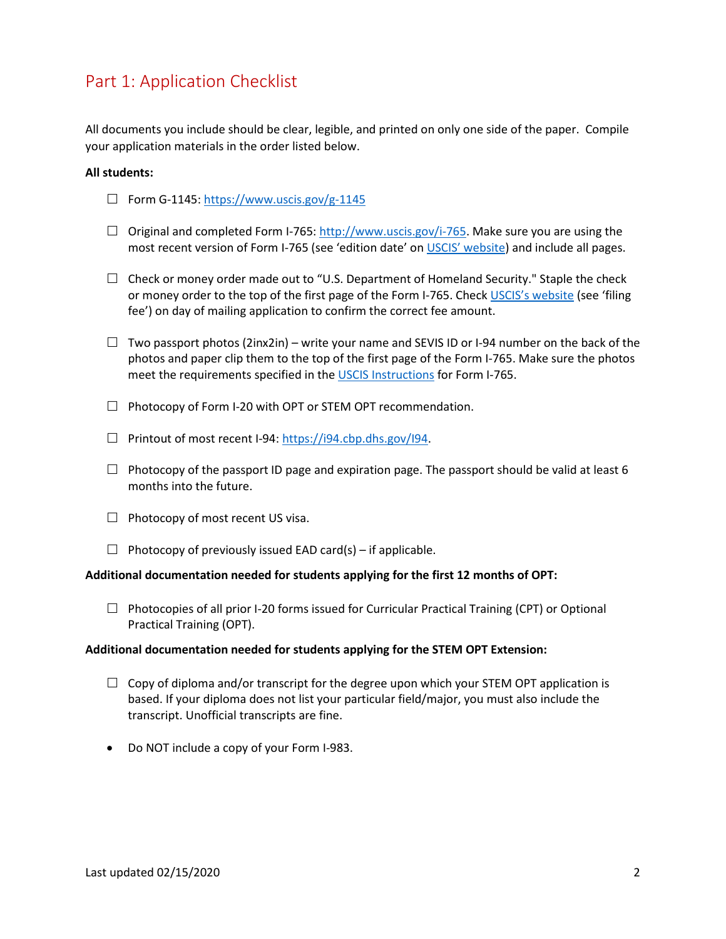## <span id="page-1-0"></span>Part 1: Application Checklist

All documents you include should be clear, legible, and printed on only one side of the paper. Compile your application materials in the order listed below.

### **All students:**

- $\Box$  Form G-1145:<https://www.uscis.gov/g-1145>
- $\Box$  Original and completed Form I-765: [http://www.uscis.gov/i-765.](http://www.uscis.gov/i-765) Make sure you are using the most recent version of Form I-765 (see 'edition date' on [USCIS' website\)](https://www.uscis.gov/i-765) and include all pages.
- $\Box$  Check or money order made out to "U.S. Department of Homeland Security." Staple the check or money order to the top of the first page of the Form I-765. Chec[k USCIS's website](http://www.uscis.gov/i-765) (see 'filing fee') on day of mailing application to confirm the correct fee amount.
- $\Box$  Two passport photos (2inx2in) write your name and SEVIS ID or I-94 number on the back of the photos and paper clip them to the top of the first page of the Form I-765. Make sure the photos meet the requirements specified in the [USCIS Instructions](https://www.uscis.gov/sites/default/files/document/forms/i-765instr.pdf) for Form I-765.
- $\Box$  Photocopy of Form I-20 with OPT or STEM OPT recommendation.
- $\Box$  Printout of most recent I-94: [https://i94.cbp.dhs.gov/I94.](https://i94.cbp.dhs.gov/I94)
- $\Box$  Photocopy of the passport ID page and expiration page. The passport should be valid at least 6 months into the future.
- $\Box$  Photocopy of most recent US visa.
- $\Box$  Photocopy of previously issued EAD card(s) if applicable.

### **Additional documentation needed for students applying for the first 12 months of OPT:**

 $\Box$  Photocopies of all prior I-20 forms issued for Curricular Practical Training (CPT) or Optional Practical Training (OPT).

### **Additional documentation needed for students applying for the STEM OPT Extension:**

- $\Box$  Copy of diploma and/or transcript for the degree upon which your STEM OPT application is based. If your diploma does not list your particular field/major, you must also include the transcript. Unofficial transcripts are fine.
- Do NOT include a copy of your Form I-983.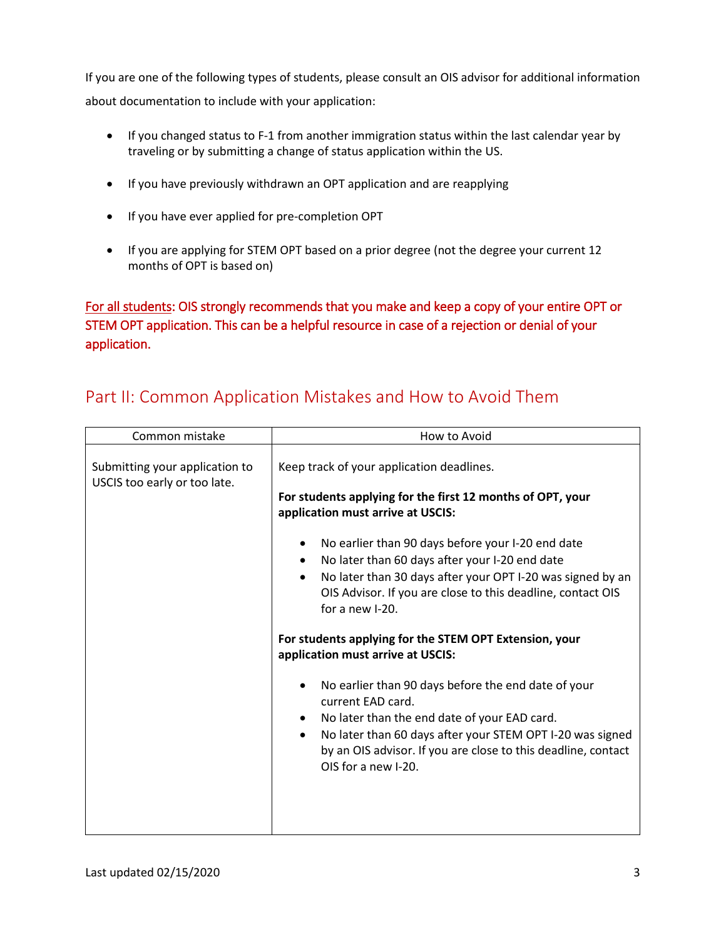If you are one of the following types of students, please consult an OIS advisor for additional information about documentation to include with your application:

- If you changed status to F-1 from another immigration status within the last calendar year by traveling or by submitting a change of status application within the US.
- If you have previously withdrawn an OPT application and are reapplying
- If you have ever applied for pre-completion OPT
- If you are applying for STEM OPT based on a prior degree (not the degree your current 12 months of OPT is based on)

For all students: OIS strongly recommends that you make and keep a copy of your entire OPT or STEM OPT application. This can be a helpful resource in case of a rejection or denial of your application.

| Common mistake                                                 | How to Avoid                                                                                                                                                                                                                                                                                                                                                                                        |  |  |  |  |
|----------------------------------------------------------------|-----------------------------------------------------------------------------------------------------------------------------------------------------------------------------------------------------------------------------------------------------------------------------------------------------------------------------------------------------------------------------------------------------|--|--|--|--|
| Submitting your application to<br>USCIS too early or too late. | Keep track of your application deadlines.<br>For students applying for the first 12 months of OPT, your<br>application must arrive at USCIS:<br>No earlier than 90 days before your I-20 end date<br>No later than 60 days after your I-20 end date<br>No later than 30 days after your OPT I-20 was signed by an<br>OIS Advisor. If you are close to this deadline, contact OIS<br>for a new I-20. |  |  |  |  |
|                                                                | For students applying for the STEM OPT Extension, your<br>application must arrive at USCIS:<br>No earlier than 90 days before the end date of your<br>current EAD card.<br>No later than the end date of your EAD card.<br>No later than 60 days after your STEM OPT I-20 was signed<br>by an OIS advisor. If you are close to this deadline, contact<br>OIS for a new I-20.                        |  |  |  |  |

## <span id="page-2-0"></span>Part II: Common Application Mistakes and How to Avoid Them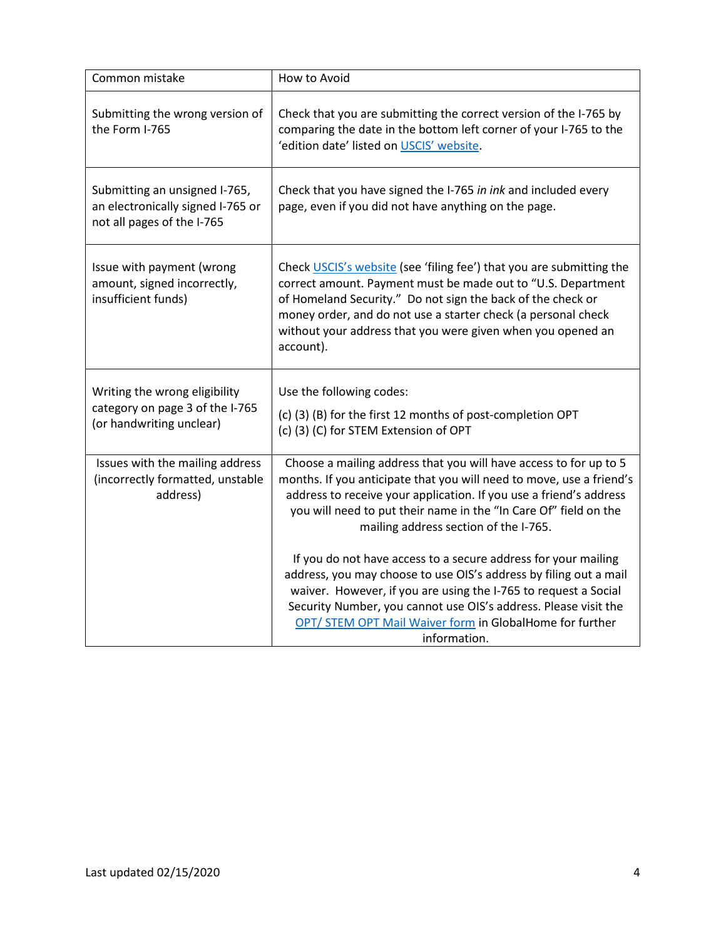| Common mistake                                                                                   | How to Avoid                                                                                                                                                                                                                                                                                                                                          |
|--------------------------------------------------------------------------------------------------|-------------------------------------------------------------------------------------------------------------------------------------------------------------------------------------------------------------------------------------------------------------------------------------------------------------------------------------------------------|
| Submitting the wrong version of<br>the Form I-765                                                | Check that you are submitting the correct version of the I-765 by<br>comparing the date in the bottom left corner of your I-765 to the<br>'edition date' listed on USCIS' website.                                                                                                                                                                    |
| Submitting an unsigned I-765,<br>an electronically signed I-765 or<br>not all pages of the I-765 | Check that you have signed the I-765 in ink and included every<br>page, even if you did not have anything on the page.                                                                                                                                                                                                                                |
| Issue with payment (wrong<br>amount, signed incorrectly,<br>insufficient funds)                  | Check USCIS's website (see 'filing fee') that you are submitting the<br>correct amount. Payment must be made out to "U.S. Department<br>of Homeland Security." Do not sign the back of the check or<br>money order, and do not use a starter check (a personal check<br>without your address that you were given when you opened an<br>account).      |
| Writing the wrong eligibility<br>category on page 3 of the I-765<br>(or handwriting unclear)     | Use the following codes:<br>(c) (3) (B) for the first 12 months of post-completion OPT<br>(c) (3) (C) for STEM Extension of OPT                                                                                                                                                                                                                       |
| Issues with the mailing address<br>(incorrectly formatted, unstable<br>address)                  | Choose a mailing address that you will have access to for up to 5<br>months. If you anticipate that you will need to move, use a friend's<br>address to receive your application. If you use a friend's address<br>you will need to put their name in the "In Care Of" field on the<br>mailing address section of the I-765.                          |
|                                                                                                  | If you do not have access to a secure address for your mailing<br>address, you may choose to use OIS's address by filing out a mail<br>waiver. However, if you are using the I-765 to request a Social<br>Security Number, you cannot use OIS's address. Please visit the<br>OPT/ STEM OPT Mail Waiver form in GlobalHome for further<br>information. |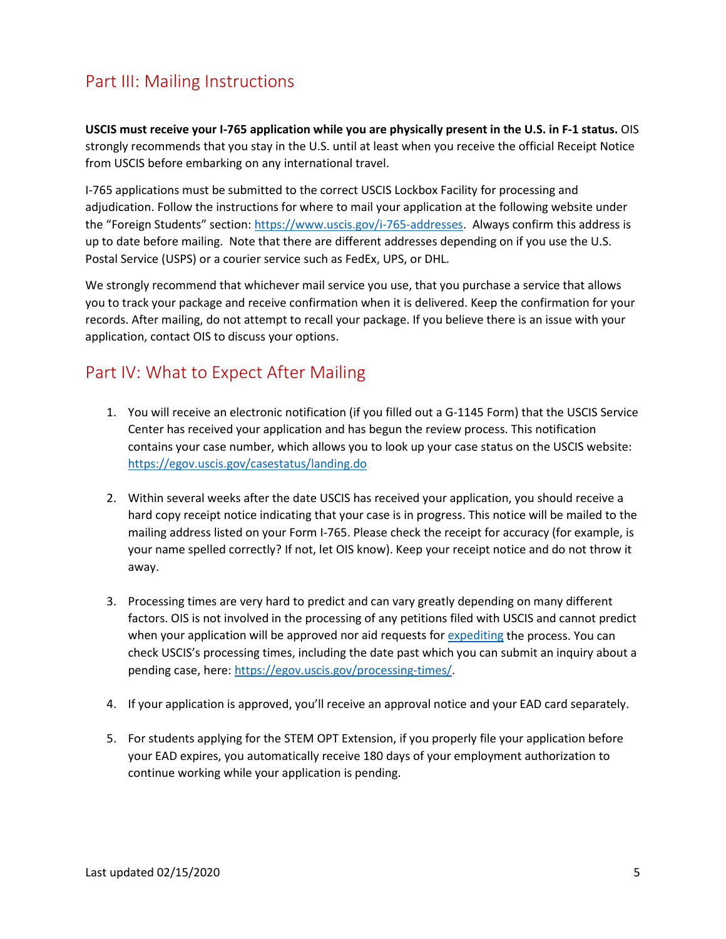## <span id="page-4-0"></span>Part III: Mailing Instructions

**USCIS must receive your I-765 application while you are physically present in the U.S. in F-1 status.** OIS strongly recommends that you stay in the U.S. until at least when you receive the official Receipt Notice from USCIS before embarking on any international travel.

I-765 applications must be submitted to the correct USCIS Lockbox Facility for processing and adjudication. Follow the instructions for where to mail your application at the following website under the "Foreign Students" section[: https://www.uscis.gov/i-765-addresses.](https://www.uscis.gov/i-765-addresses) Always confirm this address is up to date before mailing. Note that there are different addresses depending on if you use the U.S. Postal Service (USPS) or a courier service such as FedEx, UPS, or DHL.

<span id="page-4-1"></span>We strongly recommend that whichever mail service you use, that you purchase a service that allows you to track your package and receive confirmation when it is delivered. Keep the confirmation for your records. After mailing, do not attempt to recall your package. If you believe there is an issue with your application, contact OIS to discuss your options.

## Part IV: What to Expect After Mailing

- 1. You will receive an electronic notification (if you filled out a G-1145 Form) that the USCIS Service Center has received your application and has begun the review process. This notification contains your case number, which allows you to look up your case status on the USCIS website: <https://egov.uscis.gov/casestatus/landing.do>
- 2. Within several weeks after the date USCIS has received your application, you should receive a hard copy receipt notice indicating that your case is in progress. This notice will be mailed to the mailing address listed on your Form I-765. Please check the receipt for accuracy (for example, is your name spelled correctly? If not, let OIS know). Keep your receipt notice and do not throw it away.
- 3. Processing times are very hard to predict and can vary greatly depending on many different factors. OIS is not involved in the processing of any petitions filed with USCIS and cannot predict when your application will be approved nor aid requests fo[r expediting](https://www.uscis.gov/forms/filing-guidance/how-to-make-an-expedite-request) the process. You can check USCIS's processing times, including the date past which you can submit an inquiry about a pending case, here[: https://egov.uscis.gov/processing-times/.](https://egov.uscis.gov/processing-times/)
- 4. If your application is approved, you'll receive an approval notice and your EAD card separately.
- 5. For students applying for the STEM OPT Extension, if you properly file your application before your EAD expires, you automatically receive 180 days of your employment authorization to continue working while your application is pending.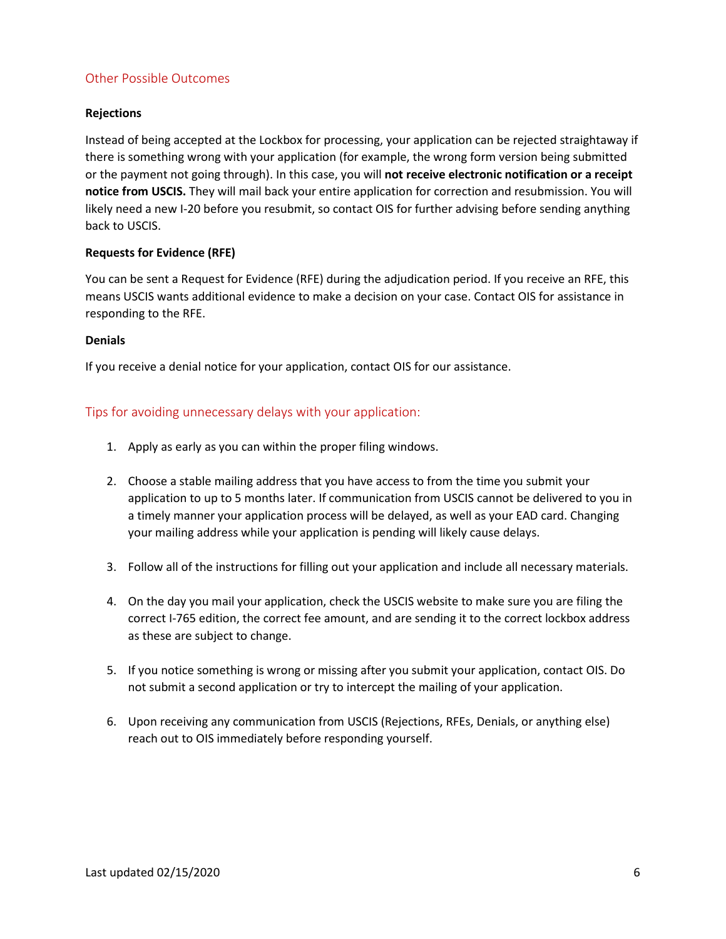## Other Possible Outcomes

### **Rejections**

Instead of being accepted at the Lockbox for processing, your application can be rejected straightaway if there is something wrong with your application (for example, the wrong form version being submitted or the payment not going through). In this case, you will **not receive electronic notification or a receipt notice from USCIS.** They will mail back your entire application for correction and resubmission. You will likely need a new I-20 before you resubmit, so contact OIS for further advising before sending anything back to USCIS.

### **Requests for Evidence (RFE)**

You can be sent a Request for Evidence (RFE) during the adjudication period. If you receive an RFE, this means USCIS wants additional evidence to make a decision on your case. Contact OIS for assistance in responding to the RFE.

### **Denials**

If you receive a denial notice for your application, contact OIS for our assistance.

### Tips for avoiding unnecessary delays with your application:

- 1. Apply as early as you can within the proper filing windows.
- 2. Choose a stable mailing address that you have access to from the time you submit your application to up to 5 months later. If communication from USCIS cannot be delivered to you in a timely manner your application process will be delayed, as well as your EAD card. Changing your mailing address while your application is pending will likely cause delays.
- 3. Follow all of the instructions for filling out your application and include all necessary materials.
- 4. On the day you mail your application, check the USCIS website to make sure you are filing the correct I-765 edition, the correct fee amount, and are sending it to the correct lockbox address as these are subject to change.
- 5. If you notice something is wrong or missing after you submit your application, contact OIS. Do not submit a second application or try to intercept the mailing of your application.
- 6. Upon receiving any communication from USCIS (Rejections, RFEs, Denials, or anything else) reach out to OIS immediately before responding yourself.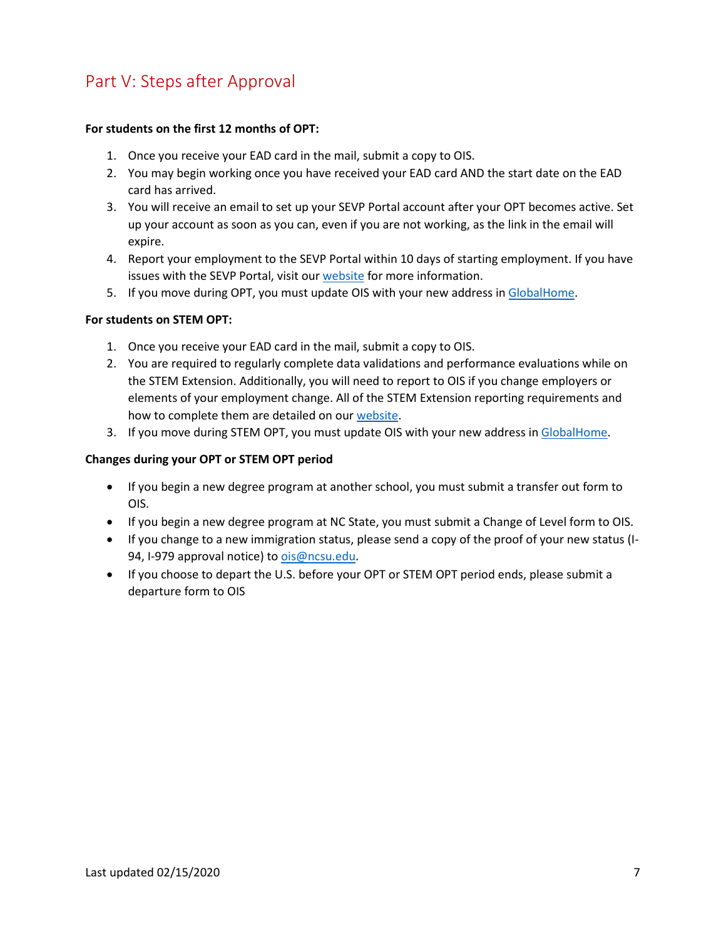# <span id="page-6-0"></span>Part V: Steps after Approval

### **For students on the first 12 months of OPT:**

- 1. Once you receive your EAD card in the mail, submit a copy to OIS.
- 2. You may begin working once you have received your EAD card AND the start date on the EAD card has arrived.
- 3. You will receive an email to set up your SEVP Portal account after your OPT becomes active. Set up your account as soon as you can, even if you are not working, as the link in the email will expire.
- 4. Report your employment to the SEVP Portal within 10 days of starting employment. If you have issues with the SEVP Portal, visit our [website](https://internationalservices.ncsu.edu/student-employment/optional-practical-training/update-your-employment-information-in-the-sevp-portal-2/) for more information.
- 5. If you move during OPT, you must update OIS with your new address in [GlobalHome.](https://oit300sc1.oit.ncsu.edu/istart/controllers/client/ClientEngine.cfm?serviceid=EFormIOCUpdateUSAddress0ServiceProvider)

### **For students on STEM OPT:**

- 1. Once you receive your EAD card in the mail, submit a copy to OIS.
- 2. You are required to regularly complete data validations and performance evaluations while on the STEM Extension. Additionally, you will need to report to OIS if you change employers or elements of your employment change. All of the STEM Extension reporting requirements and how to complete them are detailed on our [website.](https://internationalservices.ncsu.edu/stem-extension-reporting/)
- 3. If you move during STEM OPT, you must update OIS with your new address i[n GlobalHome.](https://oit300sc1.oit.ncsu.edu/istart/controllers/client/ClientEngine.cfm?serviceid=EFormIOCUpdateUSAddress0ServiceProvider)

### **Changes during your OPT or STEM OPT period**

- If you begin a new degree program at another school, you must submit a transfer out form to OIS.
- If you begin a new degree program at NC State, you must submit a Change of Level form to OIS.
- If you change to a new immigration status, please send a copy of the proof of your new status (I94, I-979 approval notice) to [ois@ncsu.edu.](mailto:ois@ncsu.edu)
- If you choose to depart the U.S. before your OPT or STEM OPT period ends, please submit a departure form to OIS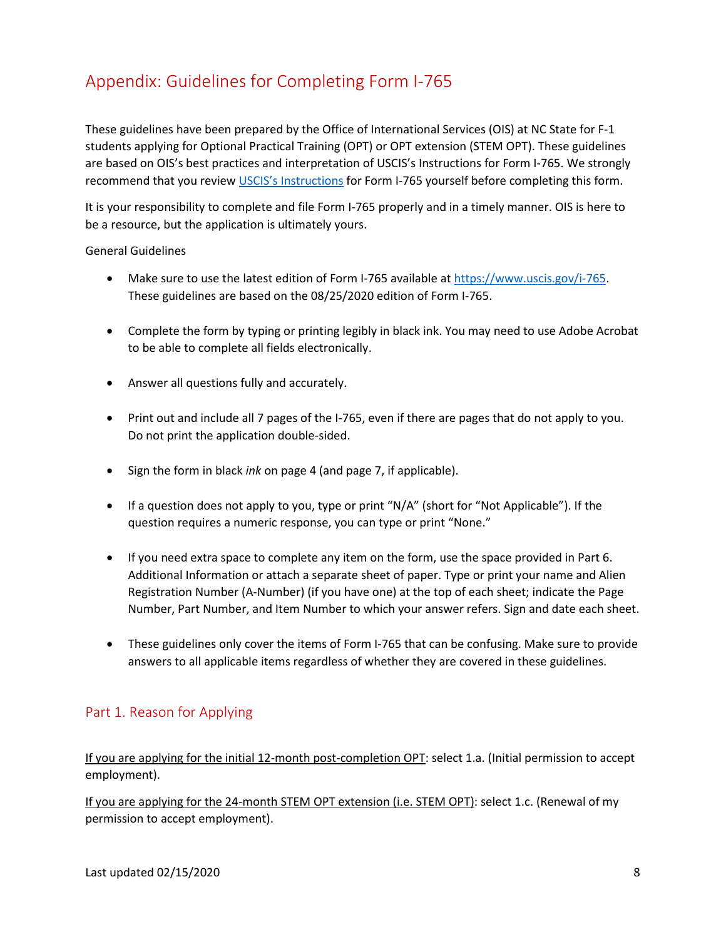# <span id="page-7-0"></span>Appendix: Guidelines for Completing Form I-765

These guidelines have been prepared by the Office of International Services (OIS) at NC State for F-1 students applying for Optional Practical Training (OPT) or OPT extension (STEM OPT). These guidelines are based on OIS's best practices and interpretation of USCIS's Instructions for Form I-765. We strongly recommend that you review [USCIS's Instructions](ttps://www.uscis.gov/i-765) for Form I-765 yourself before completing this form.

It is your responsibility to complete and file Form I-765 properly and in a timely manner. OIS is here to be a resource, but the application is ultimately yours.

General Guidelines

- Make sure to use the latest edition of Form I-765 available at [https://www.uscis.gov/i-765.](https://www.uscis.gov/i-765) These guidelines are based on the 08/25/2020 edition of Form I-765.
- Complete the form by typing or printing legibly in black ink. You may need to use Adobe Acrobat to be able to complete all fields electronically.
- Answer all questions fully and accurately.
- Print out and include all 7 pages of the I-765, even if there are pages that do not apply to you. Do not print the application double-sided.
- Sign the form in black *ink* on page 4 (and page 7, if applicable).
- If a question does not apply to you, type or print "N/A" (short for "Not Applicable"). If the question requires a numeric response, you can type or print "None."
- If you need extra space to complete any item on the form, use the space provided in Part 6. Additional Information or attach a separate sheet of paper. Type or print your name and Alien Registration Number (A-Number) (if you have one) at the top of each sheet; indicate the Page Number, Part Number, and Item Number to which your answer refers. Sign and date each sheet.
- These guidelines only cover the items of Form I-765 that can be confusing. Make sure to provide answers to all applicable items regardless of whether they are covered in these guidelines.

## Part 1. Reason for Applying

If you are applying for the initial 12-month post-completion OPT: select 1.a. (Initial permission to accept employment).

If you are applying for the 24-month STEM OPT extension (i.e. STEM OPT): select 1.c. (Renewal of my permission to accept employment).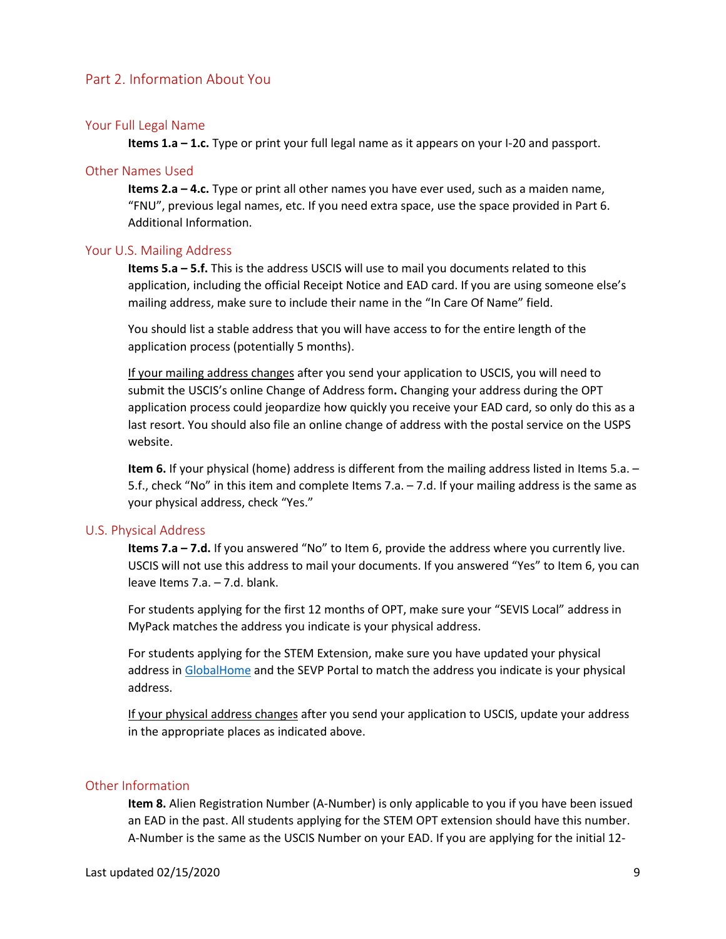### Part 2. Information About You

#### Your Full Legal Name

**Items 1.a – 1.c.** Type or print your full legal name as it appears on your I-20 and passport.

#### Other Names Used

**Items 2.a – 4.c.** Type or print all other names you have ever used, such as a maiden name, "FNU", previous legal names, etc. If you need extra space, use the space provided in Part 6. Additional Information.

#### Your U.S. Mailing Address

**Items 5.a – 5.f.** This is the address USCIS will use to mail you documents related to this application, including the official Receipt Notice and EAD card. If you are using someone else's mailing address, make sure to include their name in the "In Care Of Name" field.

You should list a stable address that you will have access to for the entire length of the application process (potentially 5 months).

If your mailing address changes after you send your application to USCIS, you will need to submit the USCIS's online Change of Address form**.** Changing your address during the OPT application process could jeopardize how quickly you receive your EAD card, so only do this as a last resort. You should also file an online change of address with the postal service on the USPS website.

**Item 6.** If your physical (home) address is different from the mailing address listed in Items 5.a. – 5.f., check "No" in this item and complete Items 7.a. – 7.d. If your mailing address is the same as your physical address, check "Yes."

#### U.S. Physical Address

**Items 7.a – 7.d.** If you answered "No" to Item 6, provide the address where you currently live. USCIS will not use this address to mail your documents. If you answered "Yes" to Item 6, you can leave Items 7.a. – 7.d. blank.

For students applying for the first 12 months of OPT, make sure your "SEVIS Local" address in MyPack matches the address you indicate is your physical address.

For students applying for the STEM Extension, make sure you have updated your physical address in [GlobalHome](https://oit300sc1.oit.ncsu.edu/istart/controllers/client/ClientEngine.cfm?serviceid=EFormIOCUpdateUSAddress0ServiceProvider) and the SEVP Portal to match the address you indicate is your physical address.

If your physical address changes after you send your application to USCIS, update your address in the appropriate places as indicated above.

### Other Information

**Item 8.** Alien Registration Number (A-Number) is only applicable to you if you have been issued an EAD in the past. All students applying for the STEM OPT extension should have this number. A-Number is the same as the USCIS Number on your EAD. If you are applying for the initial 12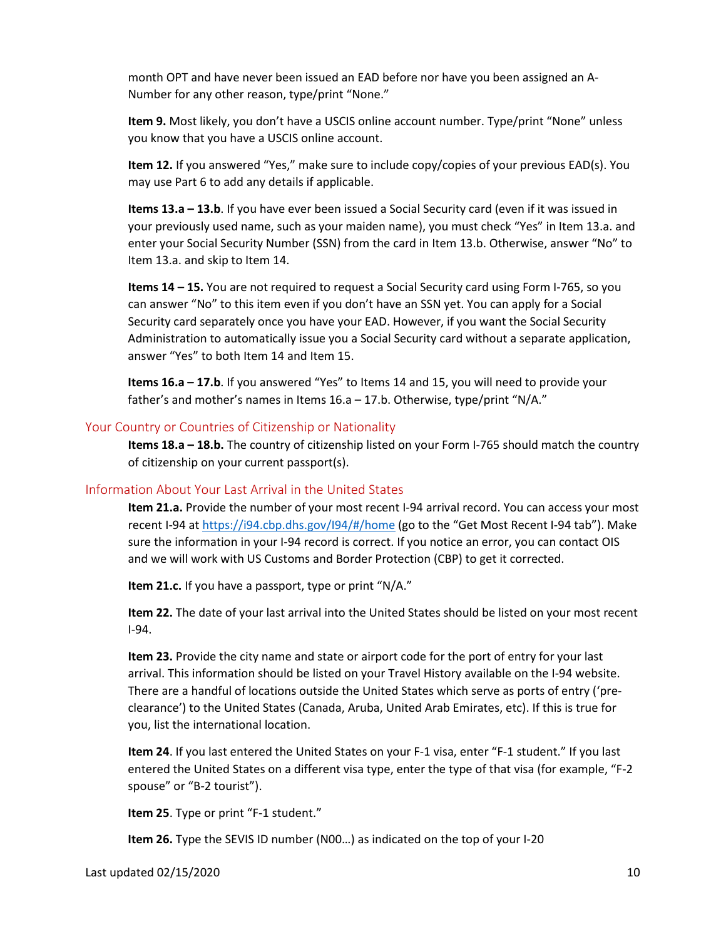month OPT and have never been issued an EAD before nor have you been assigned an A-Number for any other reason, type/print "None."

**Item 9.** Most likely, you don't have a USCIS online account number. Type/print "None" unless you know that you have a USCIS online account.

**Item 12.** If you answered "Yes," make sure to include copy/copies of your previous EAD(s). You may use Part 6 to add any details if applicable.

**Items 13.a – 13.b**. If you have ever been issued a Social Security card (even if it was issued in your previously used name, such as your maiden name), you must check "Yes" in Item 13.a. and enter your Social Security Number (SSN) from the card in Item 13.b. Otherwise, answer "No" to Item 13.a. and skip to Item 14.

**Items 14 – 15.** You are not required to request a Social Security card using Form I-765, so you can answer "No" to this item even if you don't have an SSN yet. You can apply for a Social Security card separately once you have your EAD. However, if you want the Social Security Administration to automatically issue you a Social Security card without a separate application, answer "Yes" to both Item 14 and Item 15.

**Items 16.a – 17.b**. If you answered "Yes" to Items 14 and 15, you will need to provide your father's and mother's names in Items 16.a – 17.b. Otherwise, type/print "N/A."

### Your Country or Countries of Citizenship or Nationality

**Items 18.a – 18.b.** The country of citizenship listed on your Form I-765 should match the country of citizenship on your current passport(s).

### Information About Your Last Arrival in the United States

**Item 21.a.** Provide the number of your most recent I-94 arrival record. You can access your most recent I-94 a[t https://i94.cbp.dhs.gov/I94/#/home](https://i94.cbp.dhs.gov/I94/#/home) (go to the "Get Most Recent I-94 tab"). Make sure the information in your I-94 record is correct. If you notice an error, you can contact OIS and we will work with US Customs and Border Protection (CBP) to get it corrected.

**Item 21.c.** If you have a passport, type or print "N/A."

**Item 22.** The date of your last arrival into the United States should be listed on your most recent I-94.

**Item 23.** Provide the city name and state or airport code for the port of entry for your last arrival. This information should be listed on your Travel History available on the I-94 website. There are a handful of locations outside the United States which serve as ports of entry ('preclearance') to the United States (Canada, Aruba, United Arab Emirates, etc). If this is true for you, list the international location.

**Item 24**. If you last entered the United States on your F-1 visa, enter "F-1 student." If you last entered the United States on a different visa type, enter the type of that visa (for example, "F-2 spouse" or "B-2 tourist").

**Item 25**. Type or print "F-1 student."

**Item 26.** Type the SEVIS ID number (N00…) as indicated on the top of your I-20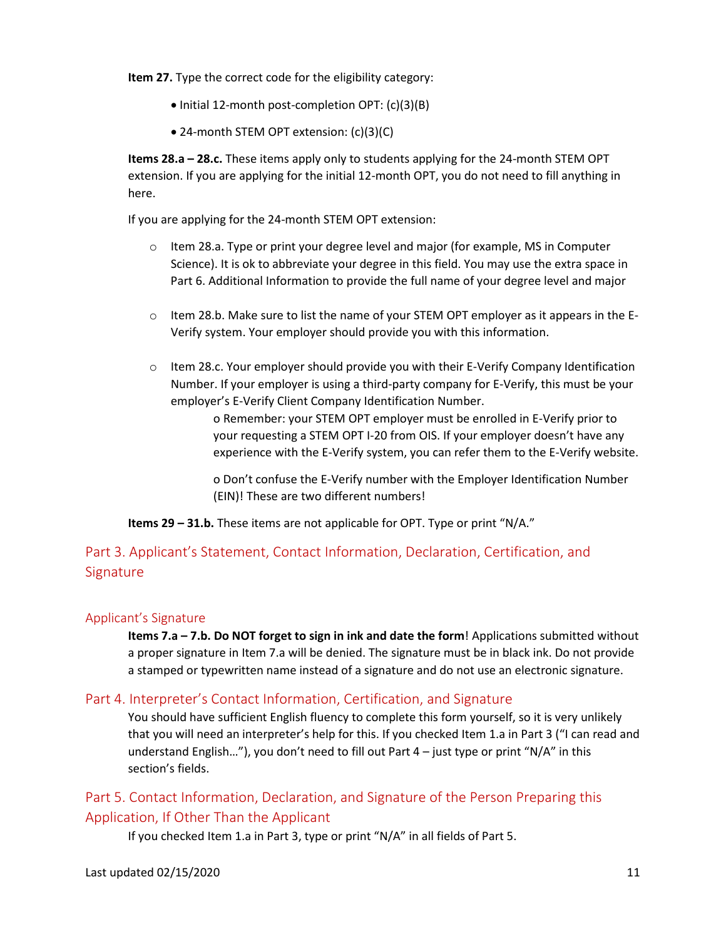**Item 27.** Type the correct code for the eligibility category:

- Initial 12-month post-completion OPT: (c)(3)(B)
- 24-month STEM OPT extension: (c)(3)(C)

**Items 28.a – 28.c.** These items apply only to students applying for the 24-month STEM OPT extension. If you are applying for the initial 12-month OPT, you do not need to fill anything in here.

If you are applying for the 24-month STEM OPT extension:

- $\circ$  Item 28.a. Type or print your degree level and major (for example, MS in Computer Science). It is ok to abbreviate your degree in this field. You may use the extra space in Part 6. Additional Information to provide the full name of your degree level and major
- $\circ$  Item 28.b. Make sure to list the name of your STEM OPT employer as it appears in the E-Verify system. Your employer should provide you with this information.
- $\circ$  Item 28.c. Your employer should provide you with their E-Verify Company Identification Number. If your employer is using a third-party company for E-Verify, this must be your employer's E-Verify Client Company Identification Number.

o Remember: your STEM OPT employer must be enrolled in E-Verify prior to your requesting a STEM OPT I-20 from OIS. If your employer doesn't have any experience with the E-Verify system, you can refer them to the E-Verify website.

o Don't confuse the E-Verify number with the Employer Identification Number (EIN)! These are two different numbers!

**Items 29 – 31.b.** These items are not applicable for OPT. Type or print "N/A."

## Part 3. Applicant's Statement, Contact Information, Declaration, Certification, and **Signature**

## Applicant's Signature

**Items 7.a – 7.b. Do NOT forget to sign in ink and date the form**! Applications submitted without a proper signature in Item 7.a will be denied. The signature must be in black ink. Do not provide a stamped or typewritten name instead of a signature and do not use an electronic signature.

## Part 4. Interpreter's Contact Information, Certification, and Signature

You should have sufficient English fluency to complete this form yourself, so it is very unlikely that you will need an interpreter's help for this. If you checked Item 1.a in Part 3 ("I can read and understand English…"), you don't need to fill out Part 4 – just type or print "N/A" in this section's fields.

## Part 5. Contact Information, Declaration, and Signature of the Person Preparing this Application, If Other Than the Applicant

If you checked Item 1.a in Part 3, type or print "N/A" in all fields of Part 5.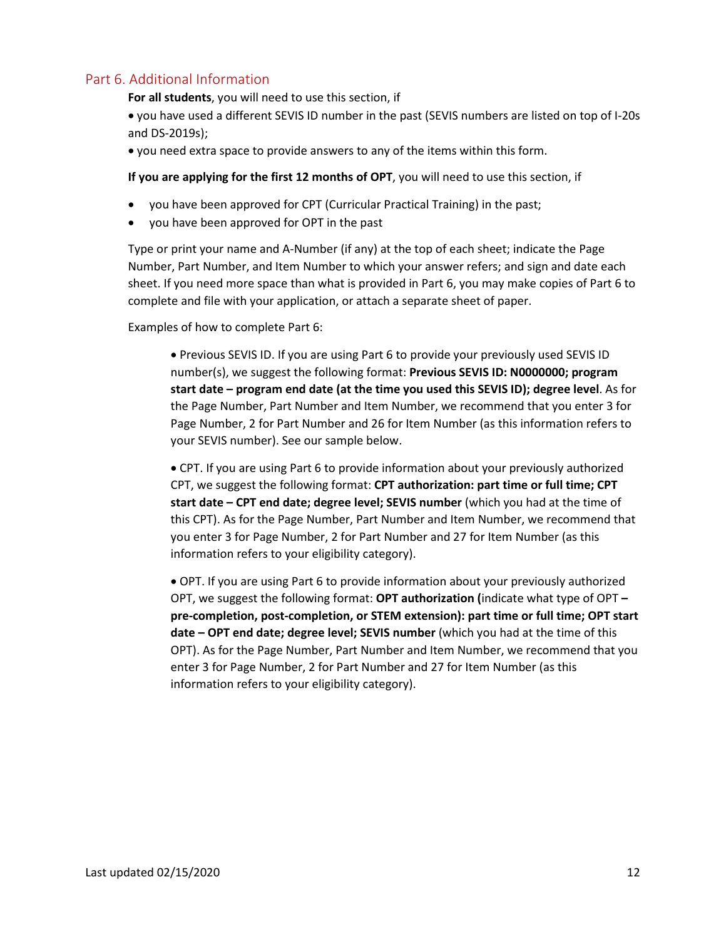### Part 6. Additional Information

**For all students**, you will need to use this section, if

• you have used a different SEVIS ID number in the past (SEVIS numbers are listed on top of I-20s and DS-2019s);

• you need extra space to provide answers to any of the items within this form.

**If you are applying for the first 12 months of OPT**, you will need to use this section, if

- you have been approved for CPT (Curricular Practical Training) in the past;
- you have been approved for OPT in the past

Type or print your name and A-Number (if any) at the top of each sheet; indicate the Page Number, Part Number, and Item Number to which your answer refers; and sign and date each sheet. If you need more space than what is provided in Part 6, you may make copies of Part 6 to complete and file with your application, or attach a separate sheet of paper.

Examples of how to complete Part 6:

• Previous SEVIS ID. If you are using Part 6 to provide your previously used SEVIS ID number(s), we suggest the following format: **Previous SEVIS ID: N0000000; program start date – program end date (at the time you used this SEVIS ID); degree level**. As for the Page Number, Part Number and Item Number, we recommend that you enter 3 for Page Number, 2 for Part Number and 26 for Item Number (as this information refers to your SEVIS number). See our sample below.

• CPT. If you are using Part 6 to provide information about your previously authorized CPT, we suggest the following format: **CPT authorization: part time or full time; CPT start date – CPT end date; degree level; SEVIS number** (which you had at the time of this CPT). As for the Page Number, Part Number and Item Number, we recommend that you enter 3 for Page Number, 2 for Part Number and 27 for Item Number (as this information refers to your eligibility category).

• OPT. If you are using Part 6 to provide information about your previously authorized OPT, we suggest the following format: **OPT authorization (**indicate what type of OPT **– pre-completion, post-completion, or STEM extension): part time or full time; OPT start date – OPT end date; degree level; SEVIS number** (which you had at the time of this OPT). As for the Page Number, Part Number and Item Number, we recommend that you enter 3 for Page Number, 2 for Part Number and 27 for Item Number (as this information refers to your eligibility category).